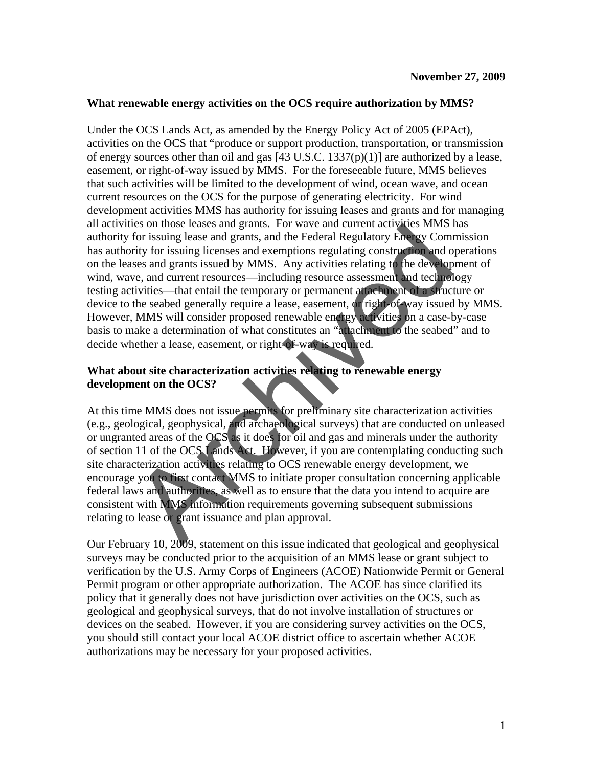## **What renewable energy activities on the OCS require authorization by MMS?**

Under the OCS Lands Act, as amended by the Energy Policy Act of 2005 (EPAct), activities on the OCS that "produce or support production, transportation, or transmission of energy sources other than oil and gas  $[43 \text{ U.S.C. } 1337(p)(1)]$  are authorized by a lease, easement, or right-of-way issued by MMS. For the foreseeable future, MMS believes that such activities will be limited to the development of wind, ocean wave, and ocean current resources on the OCS for the purpose of generating electricity. For wind development activities MMS has authority for issuing leases and grants and for managing all activities on those leases and grants. For wave and current activities MMS has authority for issuing lease and grants, and the Federal Regulatory Energy Commission has authority for issuing licenses and exemptions regulating construction and operations on the leases and grants issued by MMS. Any activities relating to the development of wind, wave, and current resources—including resource assessment and technology testing activities—that entail the temporary or permanent attachment of a structure or device to the seabed generally require a lease, easement, or right-of-way issued by MMS. However, MMS will consider proposed renewable energy activities on a case-by-case basis to make a determination of what constitutes an "attachment to the seabed" and to decide whether a lease, easement, or right-of-way is required. Ers on those leadss and grains. For wave and current activities witwist<br>for issuing lease and grains, and the Federal Regulatory Energy Com<br>rity for issuing lease and grans, and the Federal Regulatory Energy Com<br>rity for i

## **What about site characterization activities relating to renewable energy development on the OCS?**

At this time MMS does not issue permits for preliminary site characterization activities (e.g., geological, geophysical, and archaeological surveys) that are conducted on unleased or ungranted areas of the OCS as it does for oil and gas and minerals under the authority of section 11 of the OCS Lands Act. However, if you are contemplating conducting such site characterization activities relating to OCS renewable energy development, we encourage you to first contact MMS to initiate proper consultation concerning applicable federal laws and authorities, as well as to ensure that the data you intend to acquire are consistent with MMS information requirements governing subsequent submissions relating to lease or grant issuance and plan approval.

Our February 10, 2009, statement on this issue indicated that geological and geophysical surveys may be conducted prior to the acquisition of an MMS lease or grant subject to verification by the U.S. Army Corps of Engineers (ACOE) Nationwide Permit or General Permit program or other appropriate authorization. The ACOE has since clarified its policy that it generally does not have jurisdiction over activities on the OCS, such as geological and geophysical surveys, that do not involve installation of structures or devices on the seabed. However, if you are considering survey activities on the OCS, you should still contact your local ACOE district office to ascertain whether ACOE authorizations may be necessary for your proposed activities.